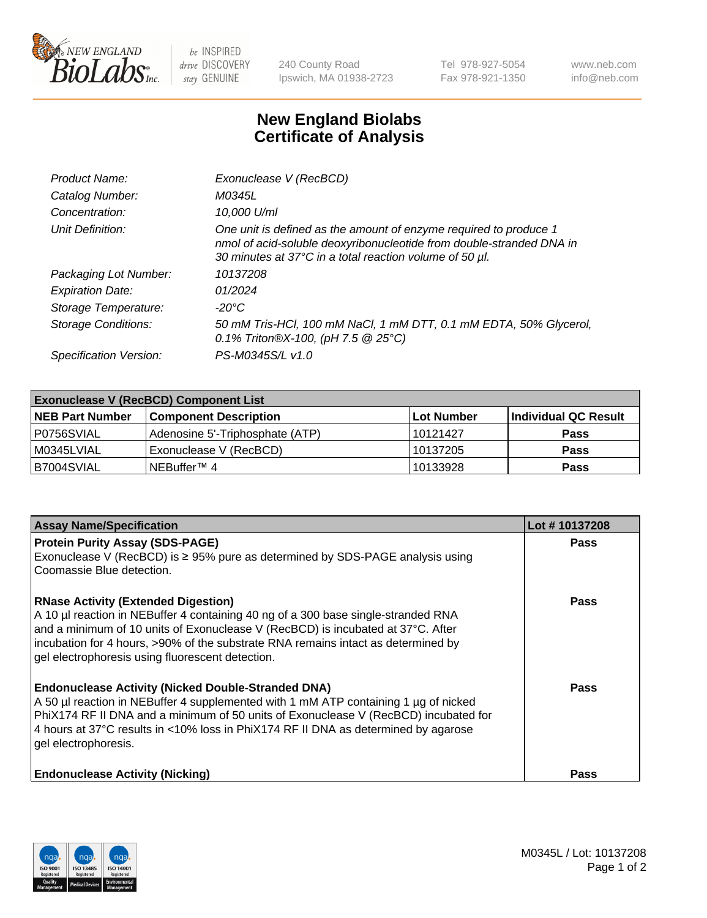

 $be$  INSPIRED drive DISCOVERY stay GENUINE

240 County Road Ipswich, MA 01938-2723 Tel 978-927-5054 Fax 978-921-1350 www.neb.com info@neb.com

## **New England Biolabs Certificate of Analysis**

| Product Name:              | Exonuclease V (RecBCD)                                                                                                                                                                               |
|----------------------------|------------------------------------------------------------------------------------------------------------------------------------------------------------------------------------------------------|
| Catalog Number:            | M0345L                                                                                                                                                                                               |
| Concentration:             | 10,000 U/ml                                                                                                                                                                                          |
| Unit Definition:           | One unit is defined as the amount of enzyme required to produce 1<br>nmol of acid-soluble deoxyribonucleotide from double-stranded DNA in<br>30 minutes at 37°C in a total reaction volume of 50 µl. |
| Packaging Lot Number:      | 10137208                                                                                                                                                                                             |
| <b>Expiration Date:</b>    | 01/2024                                                                                                                                                                                              |
| Storage Temperature:       | $-20^{\circ}$ C                                                                                                                                                                                      |
| <b>Storage Conditions:</b> | 50 mM Tris-HCl, 100 mM NaCl, 1 mM DTT, 0.1 mM EDTA, 50% Glycerol,<br>0.1% Triton®X-100, (pH 7.5 $@25°C$ )                                                                                            |
| Specification Version:     | PS-M0345S/L v1.0                                                                                                                                                                                     |

| <b>Exonuclease V (RecBCD) Component List</b> |                                 |                   |                      |  |
|----------------------------------------------|---------------------------------|-------------------|----------------------|--|
| <b>NEB Part Number</b>                       | <b>Component Description</b>    | <b>Lot Number</b> | Individual QC Result |  |
| P0756SVIAL                                   | Adenosine 5'-Triphosphate (ATP) | 10121427          | <b>Pass</b>          |  |
| M0345LVIAL                                   | Exonuclease V (RecBCD)          | 10137205          | <b>Pass</b>          |  |
| B7004SVIAL                                   | INEBuffer™ 4                    | 10133928          | <b>Pass</b>          |  |

| <b>Assay Name/Specification</b>                                                                                                                                                                                                                                                                                                                             | Lot #10137208 |
|-------------------------------------------------------------------------------------------------------------------------------------------------------------------------------------------------------------------------------------------------------------------------------------------------------------------------------------------------------------|---------------|
| <b>Protein Purity Assay (SDS-PAGE)</b><br>Exonuclease V (RecBCD) is $\geq$ 95% pure as determined by SDS-PAGE analysis using                                                                                                                                                                                                                                | <b>Pass</b>   |
| Coomassie Blue detection.                                                                                                                                                                                                                                                                                                                                   |               |
| <b>RNase Activity (Extended Digestion)</b><br>A 10 µl reaction in NEBuffer 4 containing 40 ng of a 300 base single-stranded RNA<br>and a minimum of 10 units of Exonuclease V (RecBCD) is incubated at 37°C. After<br>incubation for 4 hours, >90% of the substrate RNA remains intact as determined by<br>gel electrophoresis using fluorescent detection. | <b>Pass</b>   |
| <b>Endonuclease Activity (Nicked Double-Stranded DNA)</b><br>A 50 µl reaction in NEBuffer 4 supplemented with 1 mM ATP containing 1 µg of nicked<br>PhiX174 RF II DNA and a minimum of 50 units of Exonuclease V (RecBCD) incubated for<br>4 hours at 37°C results in <10% loss in PhiX174 RF II DNA as determined by agarose<br>gel electrophoresis.       | <b>Pass</b>   |
| <b>Endonuclease Activity (Nicking)</b>                                                                                                                                                                                                                                                                                                                      | Pass          |